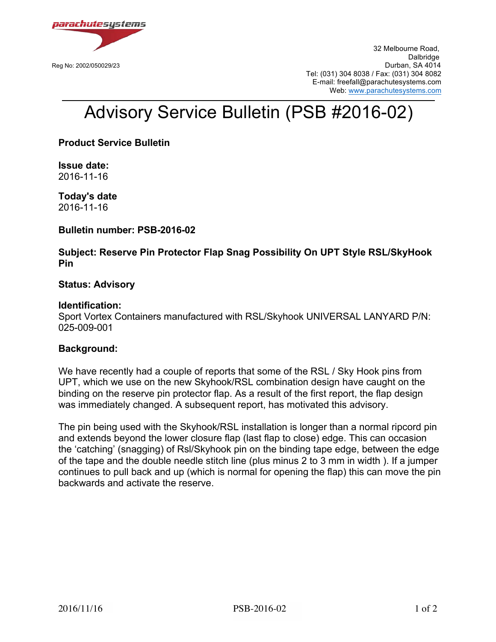

 32 Melbourne Road, de de la contradición de la contradición de la contradición de la contradición de la contradición de la contra Reg No: 2002/050029/23 Durban, SA 4014 Tel: (031) 304 8038 / Fax: (031) 304 8082 E-mail: freefall@parachutesystems.com Web: www.parachutesystems.com

# Advisory Service Bulletin (PSB #2016-02)

**Product Service Bulletin**

**Issue date:** 2016-11-16

**Today's date** 2016-11-16

**Bulletin number: PSB-2016-02**

**Subject: Reserve Pin Protector Flap Snag Possibility On UPT Style RSL/SkyHook Pin** 

## **Status: Advisory**

### **Identification:**

Sport Vortex Containers manufactured with RSL/Skyhook UNIVERSAL LANYARD P/N: 025-009-001

#### **Background:**

We have recently had a couple of reports that some of the RSL / Sky Hook pins from UPT, which we use on the new Skyhook/RSL combination design have caught on the binding on the reserve pin protector flap. As a result of the first report, the flap design was immediately changed. A subsequent report, has motivated this advisory.

The pin being used with the Skyhook/RSL installation is longer than a normal ripcord pin and extends beyond the lower closure flap (last flap to close) edge. This can occasion the 'catching' (snagging) of Rsl/Skyhook pin on the binding tape edge, between the edge of the tape and the double needle stitch line (plus minus 2 to 3 mm in width ). If a jumper continues to pull back and up (which is normal for opening the flap) this can move the pin backwards and activate the reserve.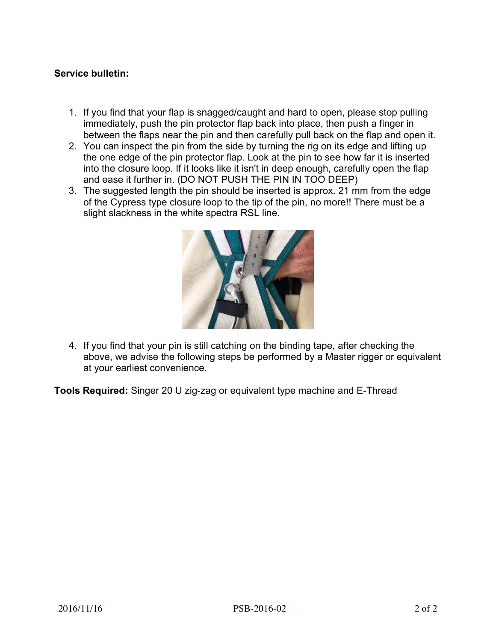# **Service bulletin:**

- 1. If you find that your flap is snagged/caught and hard to open, please stop pulling immediately, push the pin protector flap back into place, then push a finger in between the flaps near the pin and then carefully pull back on the flap and open it.
- 2. You can inspect the pin from the side by turning the rig on its edge and lifting up the one edge of the pin protector flap. Look at the pin to see how far it is inserted into the closure loop. If it looks like it isn't in deep enough, carefully open the flap and ease it further in. (DO NOT PUSH THE PIN IN TOO DEEP)
- 3. The suggested length the pin should be inserted is approx. 21 mm from the edge of the Cypress type closure loop to the tip of the pin, no more!! There must be a slight slackness in the white spectra RSL line.



4. If you find that your pin is still catching on the binding tape, after checking the above, we advise the following steps be performed by a Master rigger or equivalent at your earliest convenience.

**Tools Required:** Singer 20 U zig-zag or equivalent type machine and E-Thread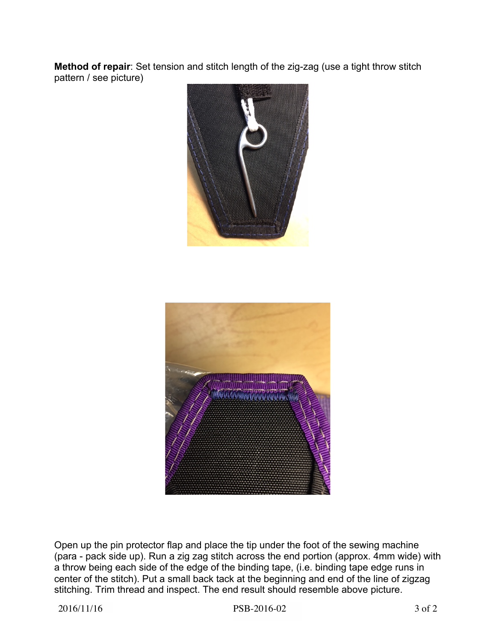**Method of repair**: Set tension and stitch length of the zig-zag (use a tight throw stitch pattern / see picture)





Open up the pin protector flap and place the tip under the foot of the sewing machine (para - pack side up). Run a zig zag stitch across the end portion (approx. 4mm wide) with a throw being each side of the edge of the binding tape, (i.e. binding tape edge runs in center of the stitch). Put a small back tack at the beginning and end of the line of zigzag stitching. Trim thread and inspect. The end result should resemble above picture.

2016/11/16 PSB-2016-02 3 of 2